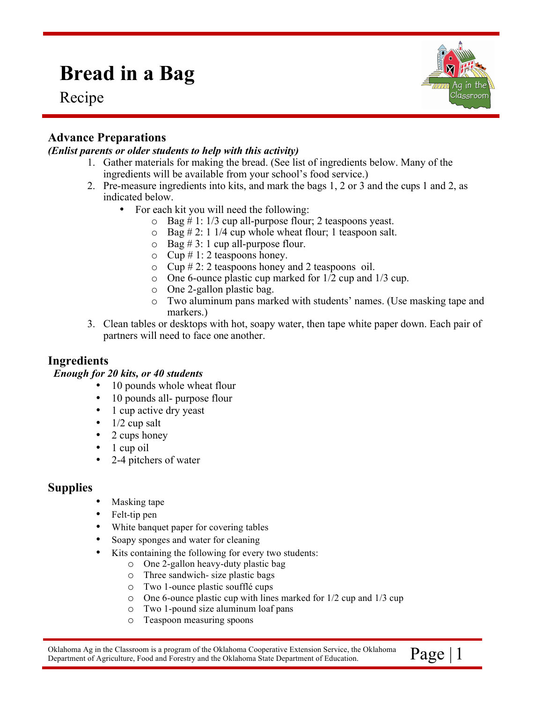# **Bread in a Bag**

Recipe



# **Advance Preparations**

#### *(Enlist parents or older students to help with this activity)*

- 1. Gather materials for making the bread. (See list of ingredients below. Many of the ingredients will be available from your school's food service.)
- 2. Pre-measure ingredients into kits, and mark the bags 1, 2 or 3 and the cups 1 and 2, as indicated below.
	- For each kit you will need the following:
		- $\circ$  Bag # 1: 1/3 cup all-purpose flour; 2 teaspoons yeast.
		- $\circ$  Bag # 2: 1 1/4 cup whole wheat flour; 1 teaspoon salt.
		- $\circ$  Bag # 3: 1 cup all-purpose flour.
		- $\circ$  Cup # 1: 2 teaspoons honey.
		- $\circ$  Cup # 2: 2 teaspoons honey and 2 teaspoons oil.
		- o One 6-ounce plastic cup marked for 1/2 cup and 1/3 cup.
		- o One 2-gallon plastic bag.
		- o Two aluminum pans marked with students' names. (Use masking tape and markers.)
- 3. Clean tables or desktops with hot, soapy water, then tape white paper down. Each pair of partners will need to face one another.

## **Ingredients**

#### *Enough for 20 kits, or 40 students*

- 10 pounds whole wheat flour
- 10 pounds all- purpose flour
- 1 cup active dry yeast
- $\bullet$  1/2 cup salt
- 2 cups honey
- 1 cup oil
- 2-4 pitchers of water

### **Supplies**

- Masking tape
- Felt-tip pen
- White banquet paper for covering tables
- Soapy sponges and water for cleaning
- Kits containing the following for every two students:
	- o One 2-gallon heavy-duty plastic bag
	- o Three sandwich- size plastic bags
	- o Two 1-ounce plastic soufflé cups
	- o One 6-ounce plastic cup with lines marked for 1/2 cup and 1/3 cup
	- o Two 1-pound size aluminum loaf pans
	- o Teaspoon measuring spoons

Oklahoma Ag in the Classroom is a program of the Oklahoma Cooperative Extension Service, the Oklahoma  $\| \text{Page} \| 1$